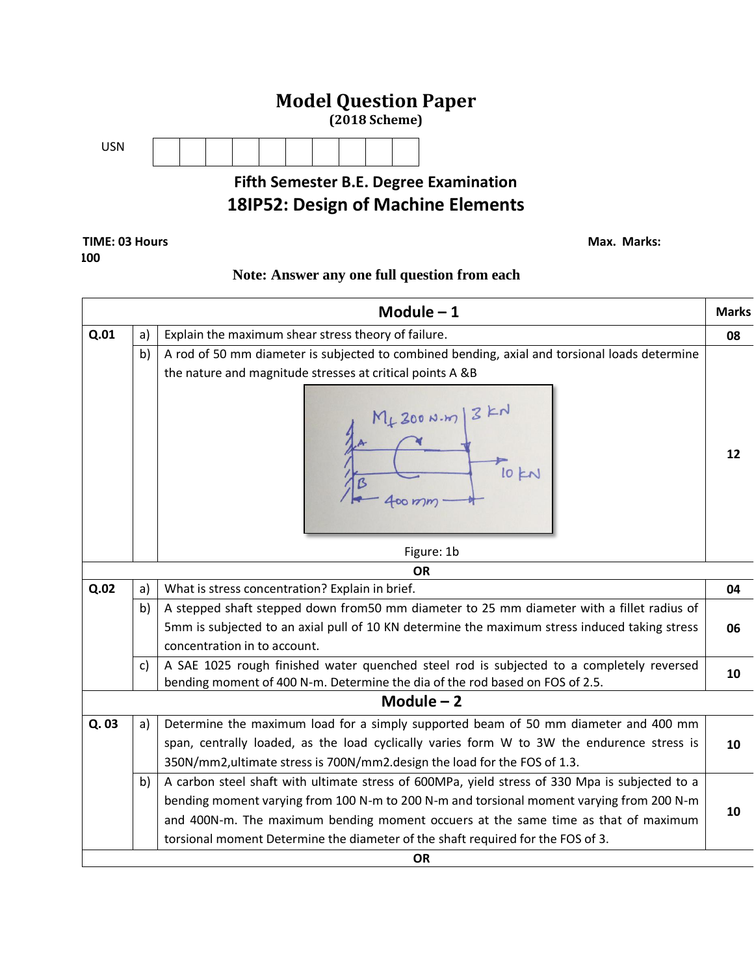

## **18IP52: Design of Machine Elements**

## **TIME: 03 Hours Max. Marks: Max. Marks: Max. Marks: Max. Marks: Max. Marks: 100**

## **Note: Answer any one full question from each**

|      |    | Module $-1$                                                                                                                                                              | <b>Marks</b> |
|------|----|--------------------------------------------------------------------------------------------------------------------------------------------------------------------------|--------------|
| Q.01 | a) | Explain the maximum shear stress theory of failure.                                                                                                                      | 08           |
|      | b) | A rod of 50 mm diameter is subjected to combined bending, axial and torsional loads determine<br>the nature and magnitude stresses at critical points A &B               |              |
|      |    | $M_{+}$ 200 N.m $3$ KN                                                                                                                                                   | 12           |
|      |    | Figure: 1b                                                                                                                                                               |              |
|      |    | <b>OR</b>                                                                                                                                                                |              |
| Q.02 | a) | What is stress concentration? Explain in brief.                                                                                                                          | 04           |
|      | b) | A stepped shaft stepped down from 50 mm diameter to 25 mm diameter with a fillet radius of                                                                               |              |
|      |    | 5mm is subjected to an axial pull of 10 KN determine the maximum stress induced taking stress                                                                            | 06           |
|      |    | concentration in to account.                                                                                                                                             |              |
|      | c) | A SAE 1025 rough finished water quenched steel rod is subjected to a completely reversed<br>bending moment of 400 N-m. Determine the dia of the rod based on FOS of 2.5. | 10           |
|      |    | Module $-2$                                                                                                                                                              |              |
| Q.03 | a) | Determine the maximum load for a simply supported beam of 50 mm diameter and 400 mm                                                                                      |              |
|      |    | span, centrally loaded, as the load cyclically varies form W to 3W the endurence stress is                                                                               | 10           |
|      |    | 350N/mm2, ultimate stress is 700N/mm2. design the load for the FOS of 1.3.                                                                                               |              |
|      | b) | A carbon steel shaft with ultimate stress of 600MPa, yield stress of 330 Mpa is subjected to a                                                                           |              |
|      |    | bending moment varying from 100 N-m to 200 N-m and torsional moment varying from 200 N-m                                                                                 |              |
|      |    | and 400N-m. The maximum bending moment occuers at the same time as that of maximum                                                                                       | 10           |
|      |    | torsional moment Determine the diameter of the shaft required for the FOS of 3.                                                                                          |              |
|      |    | <b>OR</b>                                                                                                                                                                |              |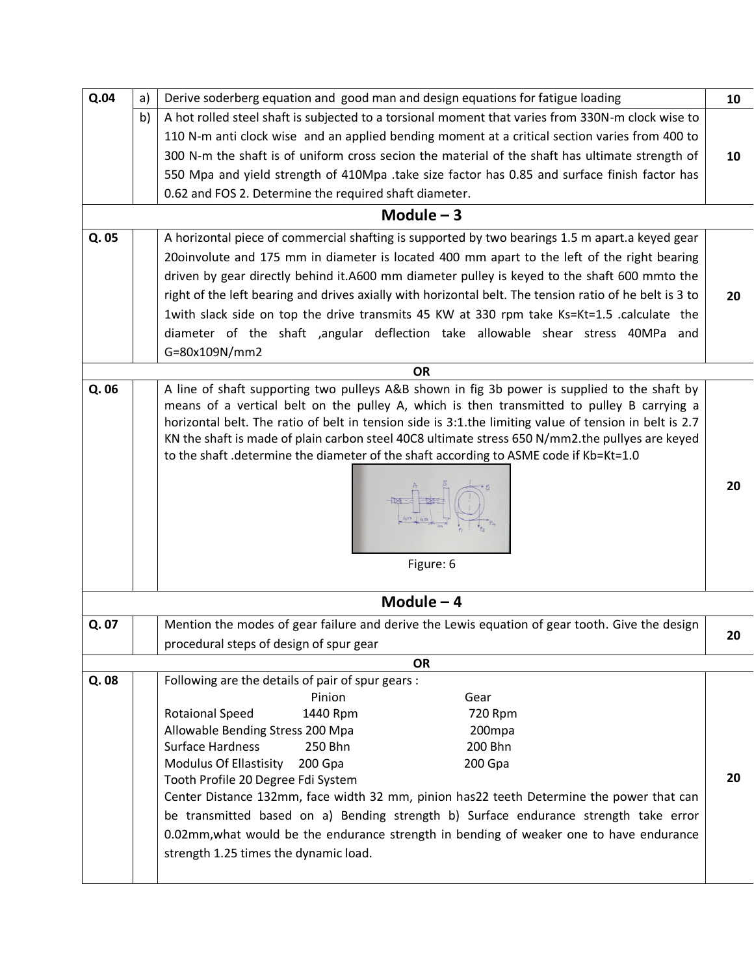| Q.04  | a) | Derive soderberg equation and good man and design equations for fatigue loading                         | 10 |
|-------|----|---------------------------------------------------------------------------------------------------------|----|
|       | b) | A hot rolled steel shaft is subjected to a torsional moment that varies from 330N-m clock wise to       |    |
|       |    | 110 N-m anti clock wise and an applied bending moment at a critical section varies from 400 to          |    |
|       |    | 300 N-m the shaft is of uniform cross secion the material of the shaft has ultimate strength of         | 10 |
|       |    | 550 Mpa and yield strength of 410Mpa .take size factor has 0.85 and surface finish factor has           |    |
|       |    | 0.62 and FOS 2. Determine the required shaft diameter.                                                  |    |
|       |    | Module $-3$                                                                                             |    |
| Q. 05 |    | A horizontal piece of commercial shafting is supported by two bearings 1.5 m apart.a keyed gear         |    |
|       |    | 20oinvolute and 175 mm in diameter is located 400 mm apart to the left of the right bearing             |    |
|       |    | driven by gear directly behind it.A600 mm diameter pulley is keyed to the shaft 600 mmto the            |    |
|       |    | right of the left bearing and drives axially with horizontal belt. The tension ratio of he belt is 3 to | 20 |
|       |    | 1with slack side on top the drive transmits 45 KW at 330 rpm take Ks=Kt=1.5 .calculate the              |    |
|       |    | diameter of the shaft ,angular deflection take allowable shear stress 40MPa and                         |    |
|       |    | G=80x109N/mm2                                                                                           |    |
|       |    | <b>OR</b>                                                                                               |    |
| Q. 06 |    | A line of shaft supporting two pulleys A&B shown in fig 3b power is supplied to the shaft by            |    |
|       |    | means of a vertical belt on the pulley A, which is then transmitted to pulley B carrying a              |    |
|       |    | horizontal belt. The ratio of belt in tension side is 3:1.the limiting value of tension in belt is 2.7  |    |
|       |    | KN the shaft is made of plain carbon steel 40C8 ultimate stress 650 N/mm2.the pullyes are keyed         |    |
|       |    | to the shaft .determine the diameter of the shaft according to ASME code if Kb=Kt=1.0                   |    |
|       |    | $rac{1}{48}$<br>Figure: 6                                                                               | 20 |
|       |    | Module $-4$                                                                                             |    |
| Q. 07 |    | Mention the modes of gear failure and derive the Lewis equation of gear tooth. Give the design          | 20 |
|       |    | procedural steps of design of spur gear                                                                 |    |
|       |    | <b>OR</b>                                                                                               |    |
| Q.08  |    | Following are the details of pair of spur gears :                                                       |    |
|       |    | Pinion<br>Gear<br><b>Rotaional Speed</b><br>1440 Rpm                                                    |    |
|       |    | 720 Rpm<br>Allowable Bending Stress 200 Mpa<br>200mpa                                                   |    |
|       |    | <b>Surface Hardness</b><br>250 Bhn<br>200 Bhn                                                           |    |
|       |    | <b>Modulus Of Ellastisity</b><br>200 Gpa<br>200 Gpa                                                     |    |
|       |    | Tooth Profile 20 Degree Fdi System                                                                      | 20 |
|       |    | Center Distance 132mm, face width 32 mm, pinion has22 teeth Determine the power that can                |    |
|       |    | be transmitted based on a) Bending strength b) Surface endurance strength take error                    |    |
|       |    | 0.02mm, what would be the endurance strength in bending of weaker one to have endurance                 |    |
|       |    | strength 1.25 times the dynamic load.                                                                   |    |
|       |    |                                                                                                         |    |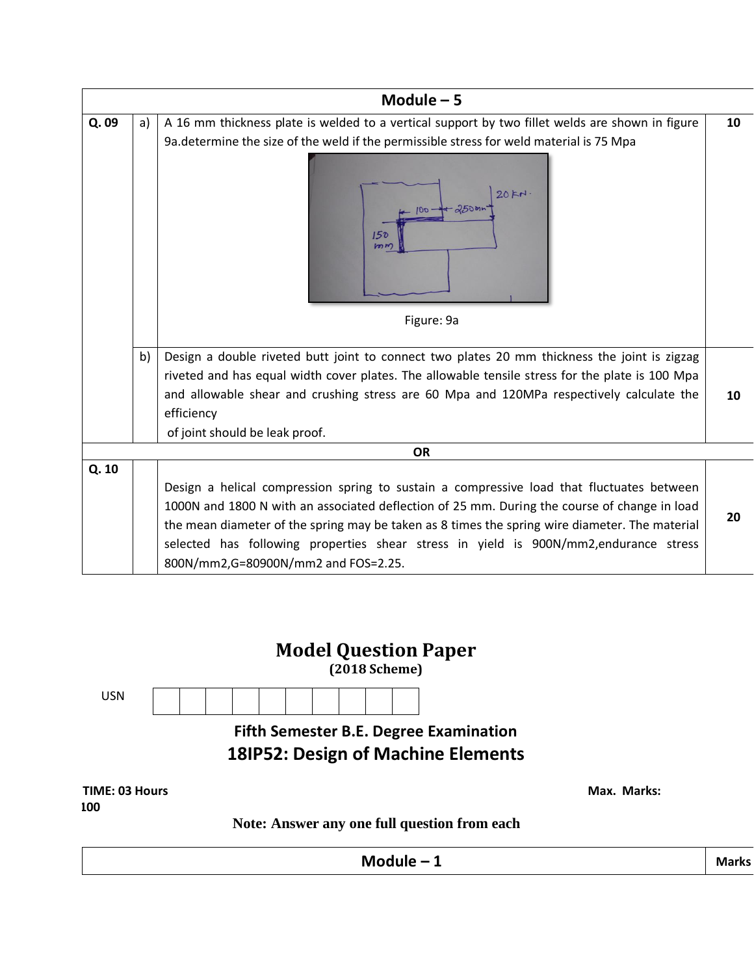|       |    | Module $-5$                                                                                                                  |    |
|-------|----|------------------------------------------------------------------------------------------------------------------------------|----|
| Q.09  | a) | A 16 mm thickness plate is welded to a vertical support by two fillet welds are shown in figure                              | 10 |
|       |    | 9a. determine the size of the weld if the permissible stress for weld material is 75 Mpa                                     |    |
|       |    | 20FN<br>150<br>km <sub>m</sub>                                                                                               |    |
|       |    | Figure: 9a                                                                                                                   |    |
|       | b) | Design a double riveted butt joint to connect two plates 20 mm thickness the joint is zigzag                                 |    |
|       |    | riveted and has equal width cover plates. The allowable tensile stress for the plate is 100 Mpa                              |    |
|       |    | and allowable shear and crushing stress are 60 Mpa and 120MPa respectively calculate the                                     | 10 |
|       |    | efficiency                                                                                                                   |    |
|       |    | of joint should be leak proof.                                                                                               |    |
|       |    | <b>OR</b>                                                                                                                    |    |
| Q. 10 |    |                                                                                                                              |    |
|       |    | Design a helical compression spring to sustain a compressive load that fluctuates between                                    |    |
|       |    | 1000N and 1800 N with an associated deflection of 25 mm. During the course of change in load                                 |    |
|       |    | the mean diameter of the spring may be taken as 8 times the spring wire diameter. The material                               | 20 |
|       |    | selected has following properties shear stress in yield is 900N/mm2, endurance stress<br>800N/mm2,G=80900N/mm2 and FOS=2.25. |    |

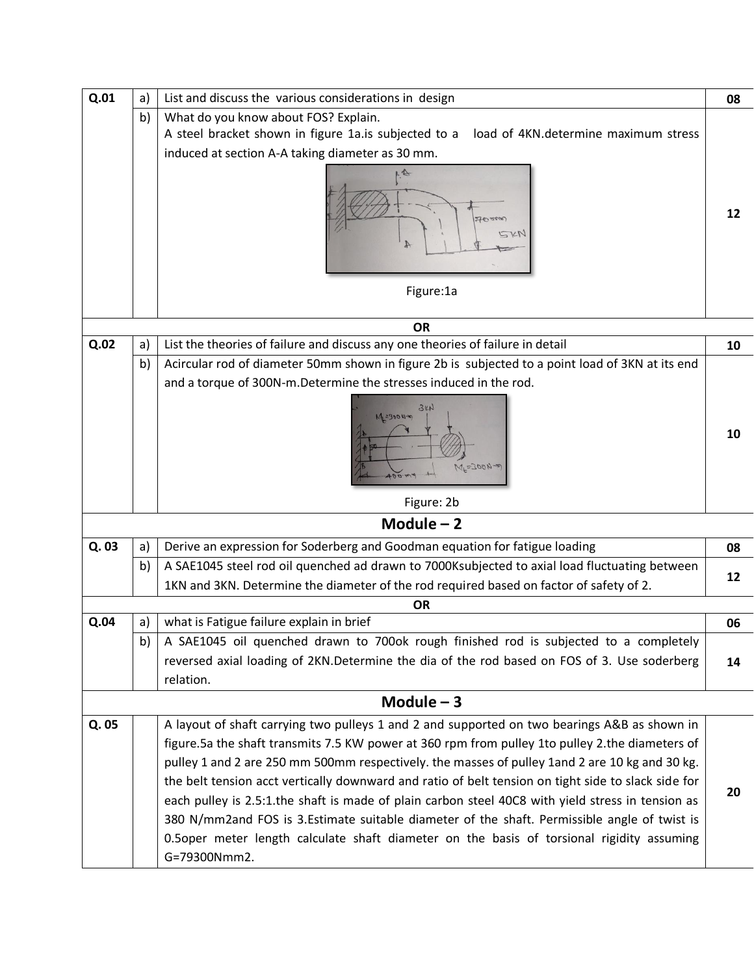| Q.01  | a) | List and discuss the various considerations in design                                                                                                                                                                                                                                                                                                                                                                                                                                                                                                                                                                                                                                                                       | 08 |
|-------|----|-----------------------------------------------------------------------------------------------------------------------------------------------------------------------------------------------------------------------------------------------------------------------------------------------------------------------------------------------------------------------------------------------------------------------------------------------------------------------------------------------------------------------------------------------------------------------------------------------------------------------------------------------------------------------------------------------------------------------------|----|
|       | b) | What do you know about FOS? Explain.                                                                                                                                                                                                                                                                                                                                                                                                                                                                                                                                                                                                                                                                                        |    |
|       |    | A steel bracket shown in figure 1a.is subjected to a<br>load of 4KN.determine maximum stress                                                                                                                                                                                                                                                                                                                                                                                                                                                                                                                                                                                                                                |    |
|       |    | induced at section A-A taking diameter as 30 mm.                                                                                                                                                                                                                                                                                                                                                                                                                                                                                                                                                                                                                                                                            |    |
|       |    | SKN<br>Figure:1a                                                                                                                                                                                                                                                                                                                                                                                                                                                                                                                                                                                                                                                                                                            | 12 |
|       |    | <b>OR</b>                                                                                                                                                                                                                                                                                                                                                                                                                                                                                                                                                                                                                                                                                                                   |    |
| Q.02  | a) | List the theories of failure and discuss any one theories of failure in detail                                                                                                                                                                                                                                                                                                                                                                                                                                                                                                                                                                                                                                              | 10 |
|       | b) | Acircular rod of diameter 50mm shown in figure 2b is subjected to a point load of 3KN at its end                                                                                                                                                                                                                                                                                                                                                                                                                                                                                                                                                                                                                            |    |
|       |    | and a torque of 300N-m. Determine the stresses induced in the rod.                                                                                                                                                                                                                                                                                                                                                                                                                                                                                                                                                                                                                                                          |    |
|       |    | 3kK<br>$M = 30004$<br>$MF=300V-20$<br>004                                                                                                                                                                                                                                                                                                                                                                                                                                                                                                                                                                                                                                                                                   | 10 |
|       |    | Figure: 2b                                                                                                                                                                                                                                                                                                                                                                                                                                                                                                                                                                                                                                                                                                                  |    |
|       |    | Module $-2$                                                                                                                                                                                                                                                                                                                                                                                                                                                                                                                                                                                                                                                                                                                 |    |
| Q. 03 | a) | Derive an expression for Soderberg and Goodman equation for fatigue loading                                                                                                                                                                                                                                                                                                                                                                                                                                                                                                                                                                                                                                                 | 08 |
|       | b) | A SAE1045 steel rod oil quenched ad drawn to 7000Ksubjected to axial load fluctuating between                                                                                                                                                                                                                                                                                                                                                                                                                                                                                                                                                                                                                               | 12 |
|       |    | 1KN and 3KN. Determine the diameter of the rod required based on factor of safety of 2.                                                                                                                                                                                                                                                                                                                                                                                                                                                                                                                                                                                                                                     |    |
|       |    | OR                                                                                                                                                                                                                                                                                                                                                                                                                                                                                                                                                                                                                                                                                                                          |    |
| Q.04  | a) | what is Fatigue failure explain in brief                                                                                                                                                                                                                                                                                                                                                                                                                                                                                                                                                                                                                                                                                    | 06 |
|       | b) | A SAE1045 oil quenched drawn to 700ok rough finished rod is subjected to a completely                                                                                                                                                                                                                                                                                                                                                                                                                                                                                                                                                                                                                                       |    |
|       |    | reversed axial loading of 2KN.Determine the dia of the rod based on FOS of 3. Use soderberg                                                                                                                                                                                                                                                                                                                                                                                                                                                                                                                                                                                                                                 | 14 |
|       |    | relation.                                                                                                                                                                                                                                                                                                                                                                                                                                                                                                                                                                                                                                                                                                                   |    |
|       |    | Module $-3$                                                                                                                                                                                                                                                                                                                                                                                                                                                                                                                                                                                                                                                                                                                 |    |
| Q. 05 |    | A layout of shaft carrying two pulleys 1 and 2 and supported on two bearings A&B as shown in<br>figure.5a the shaft transmits 7.5 KW power at 360 rpm from pulley 1to pulley 2.the diameters of<br>pulley 1 and 2 are 250 mm 500mm respectively. the masses of pulley 1and 2 are 10 kg and 30 kg.<br>the belt tension acct vertically downward and ratio of belt tension on tight side to slack side for<br>each pulley is 2.5:1. the shaft is made of plain carbon steel 40C8 with yield stress in tension as<br>380 N/mm2and FOS is 3.Estimate suitable diameter of the shaft. Permissible angle of twist is<br>0.5oper meter length calculate shaft diameter on the basis of torsional rigidity assuming<br>G=79300Nmm2. | 20 |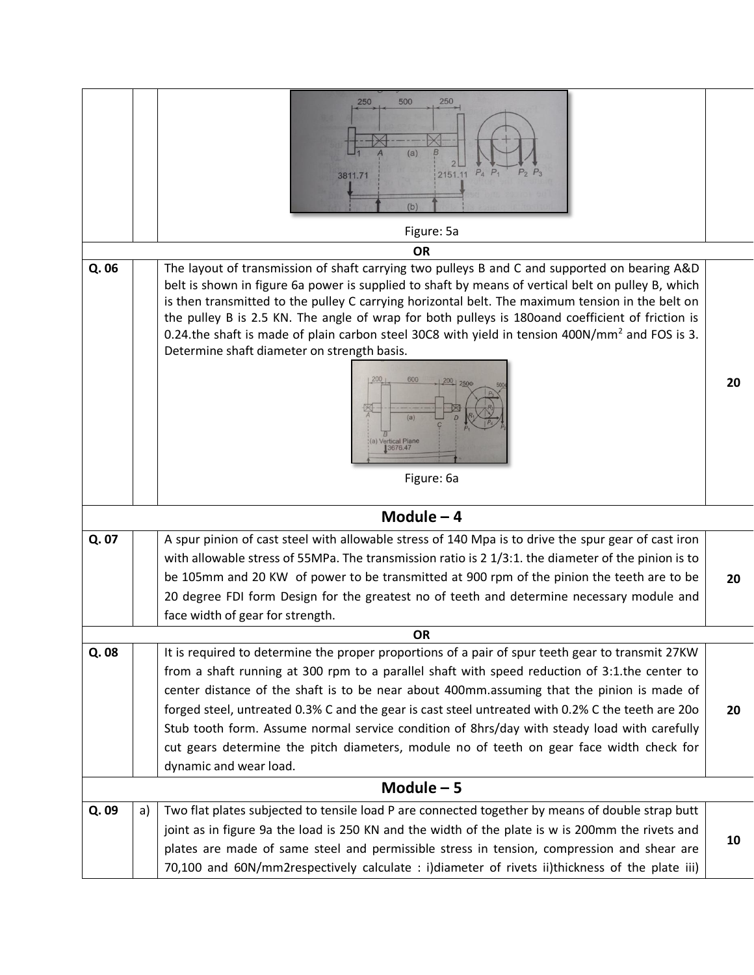|      |             | 500<br>250<br>250<br>(a)<br>2151.11 P <sub>4</sub> P <sub>1</sub><br>3811.71<br>(b)<br>Figure: 5a                                                                                                                                                                                                                                                                                                                                                                                                                                                                                                                                 |    |
|------|-------------|-----------------------------------------------------------------------------------------------------------------------------------------------------------------------------------------------------------------------------------------------------------------------------------------------------------------------------------------------------------------------------------------------------------------------------------------------------------------------------------------------------------------------------------------------------------------------------------------------------------------------------------|----|
|      |             | <b>OR</b>                                                                                                                                                                                                                                                                                                                                                                                                                                                                                                                                                                                                                         |    |
| Q.06 |             | The layout of transmission of shaft carrying two pulleys B and C and supported on bearing A&D<br>belt is shown in figure 6a power is supplied to shaft by means of vertical belt on pulley B, which<br>is then transmitted to the pulley C carrying horizontal belt. The maximum tension in the belt on<br>the pulley B is 2.5 KN. The angle of wrap for both pulleys is 180oand coefficient of friction is<br>0.24 the shaft is made of plain carbon steel 30C8 with yield in tension 400N/mm <sup>2</sup> and FOS is 3.<br>Determine shaft diameter on strength basis.<br>600<br>200<br>(a)<br>(a) Vertical Plane<br>Figure: 6a | 20 |
|      |             | Module $-4$                                                                                                                                                                                                                                                                                                                                                                                                                                                                                                                                                                                                                       |    |
| Q.07 |             | A spur pinion of cast steel with allowable stress of 140 Mpa is to drive the spur gear of cast iron<br>with allowable stress of 55MPa. The transmission ratio is 2 1/3:1. the diameter of the pinion is to<br>be 105mm and 20 KW of power to be transmitted at 900 rpm of the pinion the teeth are to be<br>20 degree FDI form Design for the greatest no of teeth and determine necessary module and<br>face width of gear for strength.                                                                                                                                                                                         | 20 |
|      |             | <b>OR</b>                                                                                                                                                                                                                                                                                                                                                                                                                                                                                                                                                                                                                         |    |
| Q.08 |             | It is required to determine the proper proportions of a pair of spur teeth gear to transmit 27KW<br>from a shaft running at 300 rpm to a parallel shaft with speed reduction of 3:1.the center to<br>center distance of the shaft is to be near about 400mm.assuming that the pinion is made of<br>forged steel, untreated 0.3% C and the gear is cast steel untreated with 0.2% C the teeth are 200<br>Stub tooth form. Assume normal service condition of 8hrs/day with steady load with carefully<br>cut gears determine the pitch diameters, module no of teeth on gear face width check for<br>dynamic and wear load.        | 20 |
|      | Module $-5$ |                                                                                                                                                                                                                                                                                                                                                                                                                                                                                                                                                                                                                                   |    |
| Q.09 | a)          | Two flat plates subjected to tensile load P are connected together by means of double strap butt<br>joint as in figure 9a the load is 250 KN and the width of the plate is w is 200mm the rivets and<br>plates are made of same steel and permissible stress in tension, compression and shear are<br>70,100 and 60N/mm2respectively calculate : i)diameter of rivets ii)thickness of the plate iii)                                                                                                                                                                                                                              | 10 |